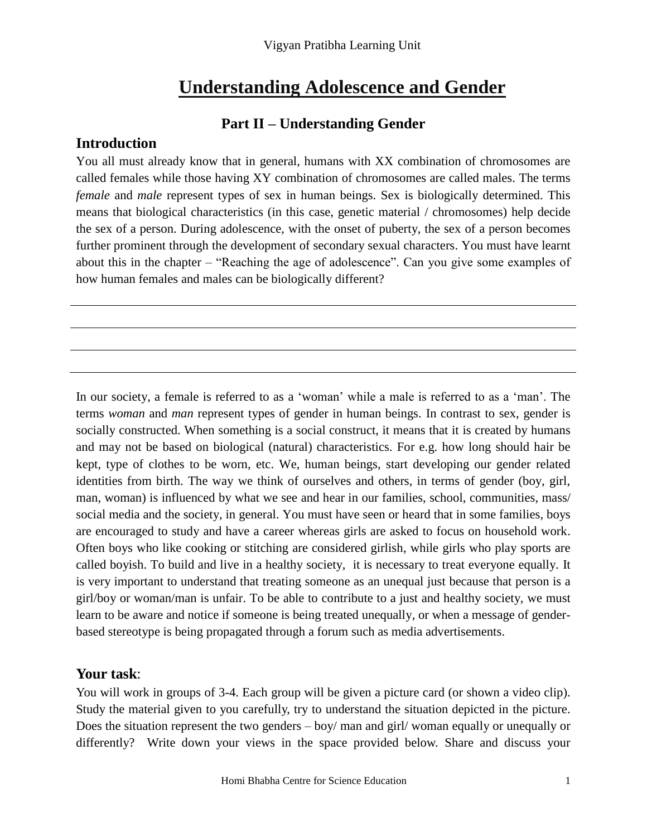# **Understanding Adolescence and Gender**

#### **Part II – Understanding Gender**

#### **Introduction**

You all must already know that in general, humans with XX combination of chromosomes are called females while those having XY combination of chromosomes are called males. The terms *female* and *male* represent types of sex in human beings. Sex is biologically determined. This means that biological characteristics (in this case, genetic material / chromosomes) help decide the sex of a person. During adolescence, with the onset of puberty, the sex of a person becomes further prominent through the development of secondary sexual characters. You must have learnt about this in the chapter – "Reaching the age of adolescence". Can you give some examples of how human females and males can be biologically different?

In our society, a female is referred to as a 'woman' while a male is referred to as a 'man'. The terms *woman* and *man* represent types of gender in human beings. In contrast to sex, gender is socially constructed. When something is a social construct, it means that it is created by humans and may not be based on biological (natural) characteristics. For e.g. how long should hair be kept, type of clothes to be worn, etc. We, human beings, start developing our gender related identities from birth. The way we think of ourselves and others, in terms of gender (boy, girl, man, woman) is influenced by what we see and hear in our families, school, communities, mass/ social media and the society, in general. You must have seen or heard that in some families, boys are encouraged to study and have a career whereas girls are asked to focus on household work. Often boys who like cooking or stitching are considered girlish, while girls who play sports are called boyish. To build and live in a healthy society, it is necessary to treat everyone equally. It is very important to understand that treating someone as an unequal just because that person is a girl/boy or woman/man is unfair. To be able to contribute to a just and healthy society, we must learn to be aware and notice if someone is being treated unequally, or when a message of genderbased stereotype is being propagated through a forum such as media advertisements.

#### **Your task**:

You will work in groups of 3-4. Each group will be given a picture card (or shown a video clip). Study the material given to you carefully, try to understand the situation depicted in the picture. Does the situation represent the two genders – boy/ man and girl/ woman equally or unequally or differently? Write down your views in the space provided below. Share and discuss your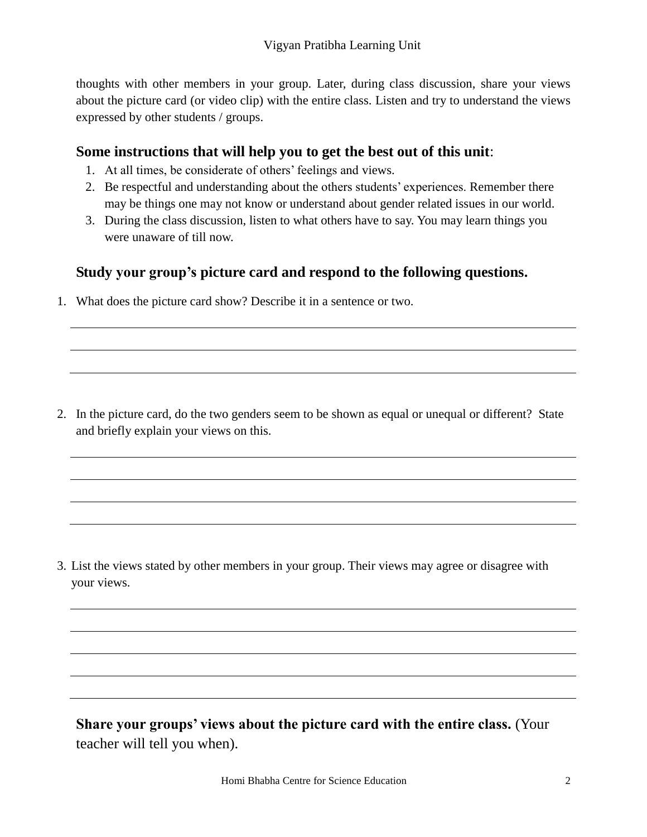thoughts with other members in your group. Later, during class discussion, share your views about the picture card (or video clip) with the entire class. Listen and try to understand the views expressed by other students / groups.

### **Some instructions that will help you to get the best out of this unit**:

- 1. At all times, be considerate of others' feelings and views.
- 2. Be respectful and understanding about the others students' experiences. Remember there may be things one may not know or understand about gender related issues in our world.
- 3. During the class discussion, listen to what others have to say. You may learn things you were unaware of till now.

## **Study your group's picture card and respond to the following questions.**

1. What does the picture card show? Describe it in a sentence or two.

2. In the picture card, do the two genders seem to be shown as equal or unequal or different? State and briefly explain your views on this.

3. List the views stated by other members in your group. Their views may agree or disagree with your views.

**Share your groups' views about the picture card with the entire class.** (Your teacher will tell you when).